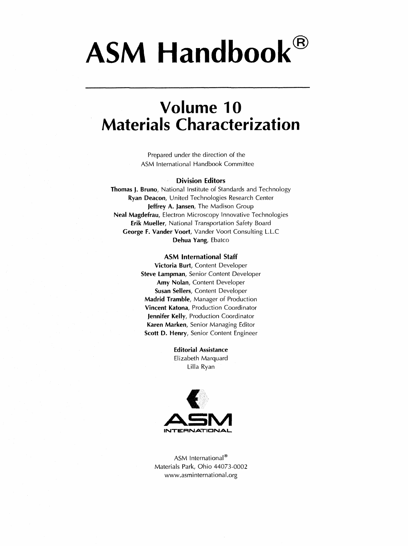# ASM Handbook<sup>®</sup>

### Volume 10 Materials Characterization

Prepared under the direction of the ASM International Handbook Committee

#### Division Editors

Thomas J. Bruno, National Institute of Standards and Technology Ryan Deacon, United Technologies Research Center Jeffrey A. Jansen, The Madison Group Neal Magdefrau, Electron Microscopy Innovative Technologies Erik Mueller, National Transportation Safety Board George F. Vander Voort, Vander Voort Consulting L.L.C Dehua Yang, Ebatco

#### ASM International Staff

Victoria Burt, Content Developer Steve Lampman, Senior Content Developer Amy Nolan, Content Developer Susan Sellers, Content Developer Madrid Tramble, Manager of Production Vincent Katona, Production Coordinator Jennifer Kelly, Production Coordinator Karen Marken, Senior Managing Editor Scott D. Henry, Senior Content Engineer

> Editorial Assistance Elizabeth Marquard Lilla Ryan



ASM International® Materials Park, Ohio 44073-0002 www.asminternational.org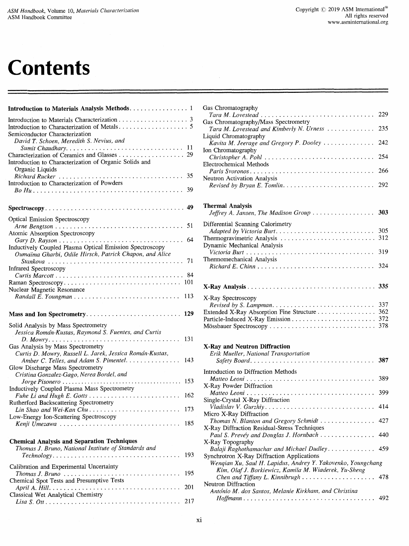## **Contents**

| Introduction to Materials Analysis Methods. 1                                                                                                                                                                         |
|-----------------------------------------------------------------------------------------------------------------------------------------------------------------------------------------------------------------------|
| Semiconductor Characterization<br>David T. Schoen, Meredith S. Nevius, and                                                                                                                                            |
| 11<br>Sumit Chaudhary<br>29<br>Introduction to Characterization of Organic Solids and                                                                                                                                 |
| Organic Liquids<br>Richard Rucker<br>35<br>Introduction to Characterization of Powders                                                                                                                                |
| 39                                                                                                                                                                                                                    |
| 49                                                                                                                                                                                                                    |
| Optical Emission Spectroscopy<br>51<br>Atomic Absorption Spectroscopy                                                                                                                                                 |
| 64<br>Inductively Coupled Plasma Optical Emission Spectroscopy<br>Oumaïma Gharbi, Odile Hirsch, Patrick Chapon, and Alice                                                                                             |
| 71<br><b>Infrared Spectroscopy</b><br>84                                                                                                                                                                              |
| 101<br>Nuclear Magnetic Resonance                                                                                                                                                                                     |
| 113                                                                                                                                                                                                                   |
|                                                                                                                                                                                                                       |
| Mass and Ion Spectrometry<br>129                                                                                                                                                                                      |
| Solid Analysis by Mass Spectrometry<br>Jessica Román-Kustas, Raymond S. Fuentes, and Curtis<br>131                                                                                                                    |
| Gas Analysis by Mass Spectrometry<br>Curtis D. Mowry, Russell L. Jarek, Jessica Román-Kustas,<br>Amber C. Telles, and Adam S. Pimentel.<br>143                                                                        |
| Glow Discharge Mass Spectrometry<br>Cristina Gonzalez-Gago, Nerea Bordel, and                                                                                                                                         |
| 153<br>Inductively Coupled Plasma Mass Spectrometry                                                                                                                                                                   |
| 162<br>Rutherford Backscattering Spectrometry                                                                                                                                                                         |
| Lin Shao and Wei-Kan Chu<br>173<br>Low-Energy Ion-Scattering Spectroscopy<br>Kenji Umezawa  185                                                                                                                       |
| <b>Chemical Analysis and Separation Techniques</b><br>Thomas J. Bruno, National Institute of Standards and<br>193<br>$Technology \ldots \ldots \ldots \ldots \ldots \ldots \ldots \ldots \ldots \ldots \ldots \ldots$ |
| Calibration and Experimental Uncertainty                                                                                                                                                                              |
| 195<br>Thomas J. Bruno $\ldots \ldots \ldots \ldots \ldots \ldots \ldots \ldots \ldots \ldots$<br>Chemical Spot Tests and Presumptive Tests<br>201<br>Classical Wet Analytical Chemistry                              |

| Gas Chromatography                                                                                                    |     |
|-----------------------------------------------------------------------------------------------------------------------|-----|
| Tara M. Lovestead                                                                                                     | 229 |
| Gas Chromatography/Mass Spectrometry<br>Tara M. Lovestead and Kimberly N. Urness                                      | 235 |
| Liquid Chromatography                                                                                                 |     |
| Kavita M. Jeerage and Gregory P. Dooley                                                                               | 242 |
| Ion Chromatography                                                                                                    | 254 |
| Christopher A. Pohl<br><b>Electrochemical Methods</b>                                                                 |     |
|                                                                                                                       | 266 |
| Neutron Activation Analysis                                                                                           |     |
| Revised by Bryan E. Tomlin. $\ldots \ldots \ldots \ldots \ldots \ldots \ldots$ 292                                    |     |
|                                                                                                                       |     |
| <b>Thermal Analysis</b>                                                                                               |     |
| Jeffrey A. Jansen, The Madison Group  303                                                                             |     |
| Differential Scanning Calorimetry                                                                                     |     |
|                                                                                                                       | 305 |
| Dynamic Mechanical Analysis                                                                                           |     |
|                                                                                                                       | 319 |
| Thermomechanical Analysis                                                                                             |     |
|                                                                                                                       |     |
|                                                                                                                       |     |
|                                                                                                                       |     |
| X-Ray Spectroscopy                                                                                                    |     |
|                                                                                                                       | 337 |
| Extended X-Ray Absorption Fine Structure 362                                                                          |     |
|                                                                                                                       |     |
|                                                                                                                       |     |
| X-Ray and Neutron Diffraction                                                                                         |     |
| Erik Mueller, National Transportation                                                                                 |     |
|                                                                                                                       | 387 |
| Introduction to Diffraction Methods                                                                                   |     |
|                                                                                                                       | 389 |
| X-Ray Powder Diffraction                                                                                              |     |
| Single-Crystal X-Ray Diffraction                                                                                      | 399 |
| Vladislav V. Gurzhiy                                                                                                  | 414 |
| Micro X-Ray Diffraction                                                                                               |     |
| Thomas N. Blanton and Gregory Schmidt  427                                                                            |     |
| X-Ray Diffraction Residual-Stress Techniques<br>Paul S. Prevéy and Douglas J. Hornbach                                | 440 |
| X-Ray Topography                                                                                                      |     |
| Balaji Raghothamachar and Michael Dudley.                                                                             | 459 |
| Synchrotron X-Ray Diffraction Applications                                                                            |     |
| Wenqian Xu, Saul H. Lapidus, Andrey Y. Yakovenko, Youngchang<br>Kim, Olaf J. Borkiewicz, Kamila M. Wiaderek, Yu-Sheng |     |
|                                                                                                                       | 478 |
| Neutron Diffraction                                                                                                   |     |
| António M. dos Santos, Melanie Kirkham, and Christina                                                                 |     |
|                                                                                                                       | 492 |
|                                                                                                                       |     |